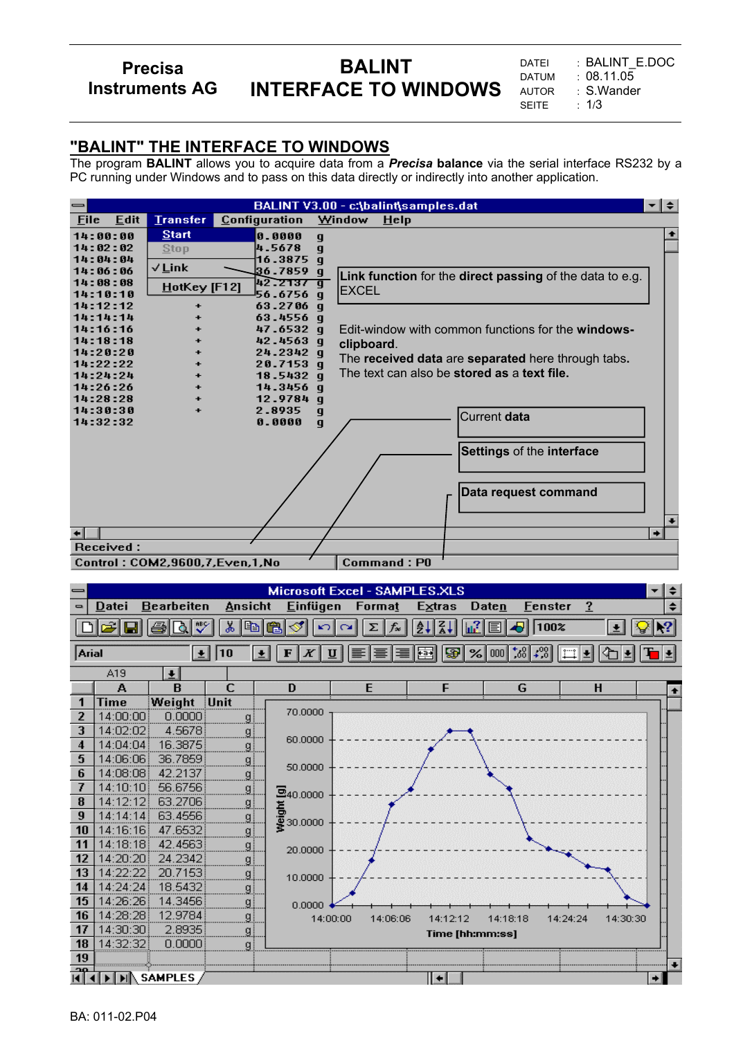## **Precisa Instruments AG**

# **BALINT INTERFACE TO WINDOWS**

DATEI : BALINT\_E.DOC DATUM : 08.11.05 AUTOR : S.Wander<br>SEITE : 1/3 **SEITE** 

### **"BALINT" THE INTERFACE TO WINDOWS**

The program **BALINT** allows you to acquire data from a *Precisa* **balance** via the serial interface RS232 by a PC running under Windows and to pass on this data directly or indirectly into another application.

| BALINT V3.00 - c:\balint\samples.dat<br>≁l≑<br>$\, =\,$ |                                                     |                     |                   |                                                          |   |  |  |
|---------------------------------------------------------|-----------------------------------------------------|---------------------|-------------------|----------------------------------------------------------|---|--|--|
| <b>File</b><br><b>Edit</b>                              | <b>Transfer</b>                                     | Configuration       |                   | Window<br><b>Help</b>                                    |   |  |  |
| 14:00:00                                                | <b>Start</b>                                        | 0.0000              | q                 |                                                          |   |  |  |
| 14:02:02                                                | <b>Stop</b>                                         | 4.5678              | $\mathbf q$       |                                                          |   |  |  |
| 14:04:04                                                | √Link                                               | 16.3875             | $\mathbf q$       |                                                          |   |  |  |
| 14:06:06                                                |                                                     | 36.7859             | q                 | Link function for the direct passing of the data to e.g. |   |  |  |
| 14:08:08<br>14:10:10                                    | HotKey [F12]                                        | 42.2137<br>56.6756  | ā                 | <b>IEXCEL</b>                                            |   |  |  |
| 14:12:12                                                |                                                     | 63.2706             | $\mathbf{q}$<br>q |                                                          |   |  |  |
| 14:14:14                                                |                                                     | 63.4556 q           |                   |                                                          |   |  |  |
| 14:16:16                                                |                                                     | 47.6532 q           |                   | Edit-window with common functions for the windows-       |   |  |  |
| 14:18:18                                                |                                                     | 42.4563 q           |                   | clipboard.                                               |   |  |  |
| 14:20:20                                                |                                                     | 24.2342 g           |                   | The received data are separated here through tabs.       |   |  |  |
| 14:22:22                                                |                                                     | 20.7153a            |                   |                                                          |   |  |  |
| 14:24:24                                                | $\ddot{}$                                           | 18.5432 a           |                   | The text can also be <b>stored as a text file.</b>       |   |  |  |
| 14:26:26                                                |                                                     | 14.3456 g           |                   |                                                          |   |  |  |
| 14:28:28<br>14:30:30                                    |                                                     | 12.9784 q<br>2.8935 |                   |                                                          |   |  |  |
| 14:32:32                                                |                                                     | 0.0000              | g<br>q            | Current data                                             |   |  |  |
|                                                         |                                                     |                     |                   |                                                          |   |  |  |
|                                                         |                                                     |                     |                   |                                                          |   |  |  |
|                                                         |                                                     |                     |                   | Settings of the interface                                |   |  |  |
|                                                         |                                                     |                     |                   |                                                          |   |  |  |
|                                                         |                                                     |                     |                   |                                                          |   |  |  |
|                                                         |                                                     |                     |                   | Data request command                                     |   |  |  |
|                                                         |                                                     |                     |                   |                                                          |   |  |  |
|                                                         |                                                     |                     |                   |                                                          |   |  |  |
|                                                         |                                                     |                     |                   |                                                          | ٠ |  |  |
| Received:                                               |                                                     |                     |                   |                                                          |   |  |  |
|                                                         | <b>Command:PO</b><br>Control: COM2,9600,7,Even,1,No |                     |                   |                                                          |   |  |  |

|               | Microsoft Excel - SAMPLES.XLS<br>≑ |                     |                      |                     |                   |                      |                                                                          |                      |                        |
|---------------|------------------------------------|---------------------|----------------------|---------------------|-------------------|----------------------|--------------------------------------------------------------------------|----------------------|------------------------|
| $\Rightarrow$ | Datei                              | <b>Bearbeiten</b>   | <b>Ansicht</b>       | <b>Einfügen</b>     | Format            | <b>Extras</b>        | Daten                                                                    | <b>Eenster</b><br>?  | ٠                      |
|               | اڪ<br>9                            | ᢟ<br>BIQI           | äь<br>$ \mathbb{E} $ | ╰<br>亀<br>K)        | $f_{\infty}$<br>Σ | $\frac{7}{4}$<br>ĝ↓∥ | $\mathbb{Z}$ ei                                                          | 100%                 | $\left  \cdot \right $ |
|               |                                    |                     |                      |                     |                   |                      |                                                                          |                      |                        |
| Arial         |                                    | 土                   | 10                   | К<br>士<br>F<br>U    |                   | 91<br>$Fa+$          | $\infty$ 000 $\approx$ $\approx$ $\approx$ $\approx$ $\approx$ $\approx$ | III.                 |                        |
|               | A19                                | 푀                   |                      |                     |                   |                      |                                                                          |                      |                        |
|               | А                                  | B                   | C                    | D                   | E                 | F                    | G                                                                        | H                    |                        |
| 1             | Time                               | Weight              | Unit                 | 70.0000             |                   |                      |                                                                          |                      |                        |
| 2             | 14:00:00                           | 0.0000              | g                    |                     |                   |                      |                                                                          |                      |                        |
| 3             | 14:02:02                           | 4.5678              | 91                   | 60.0000             |                   |                      |                                                                          |                      |                        |
| 4             | 14:04:04                           | 16.3875             |                      |                     |                   |                      |                                                                          |                      |                        |
| 5<br>6        | 14:06:06<br>14:08:08               | 36.7859<br>42.2137  | g                    | 50,0000             |                   |                      |                                                                          |                      |                        |
| 7             | 14:10:10                           | 56.6756             | <u>g:</u>            |                     |                   |                      |                                                                          |                      |                        |
| 8             | 14:12:12                           | 63.2706             |                      | $\Xi$ 40.0000       |                   |                      |                                                                          |                      |                        |
| 9             | 14:14:14                           | 63.4556             | g                    |                     |                   |                      |                                                                          |                      |                        |
| 10            | 14:16:16                           | 47.6532             | 91<br>gj             | - 등<br>তথ্য 30,0000 |                   |                      |                                                                          |                      |                        |
| 11            | 14:18:18                           | 42.4563             | 91                   |                     |                   |                      |                                                                          |                      |                        |
| 12            | 14:20:20                           | 24.2342             | g!                   | 20,0000             |                   |                      |                                                                          |                      |                        |
| 13            | 14:22:22                           | 20.7153             | gļ                   | 10.0000             |                   |                      |                                                                          |                      |                        |
| 14            | 14:24:24                           | 18.5432             | gļ                   |                     |                   |                      |                                                                          |                      |                        |
| 15            | 14:26:26                           | 14.3456             | g!                   | 0.0000              |                   |                      |                                                                          |                      |                        |
| 16            | 14:28:28                           | 12.9784             | g                    | 14:00:00            | 14:06:06          | 14:12:12             | 14:18:18                                                                 | 14:30:30<br>14:24:24 |                        |
| 17            | 14:30:30                           | 2.8935              | 91                   |                     |                   |                      | Time [hh:mm:ss]                                                          |                      |                        |
| 18            | 14:32:32                           | 0.0000              | α                    |                     |                   |                      |                                                                          |                      |                        |
| 19<br>ഛ       |                                    |                     |                      |                     |                   |                      |                                                                          |                      |                        |
|               |                                    | <b>IF HISAMPLES</b> |                      |                     |                   | ∥ +                  |                                                                          |                      |                        |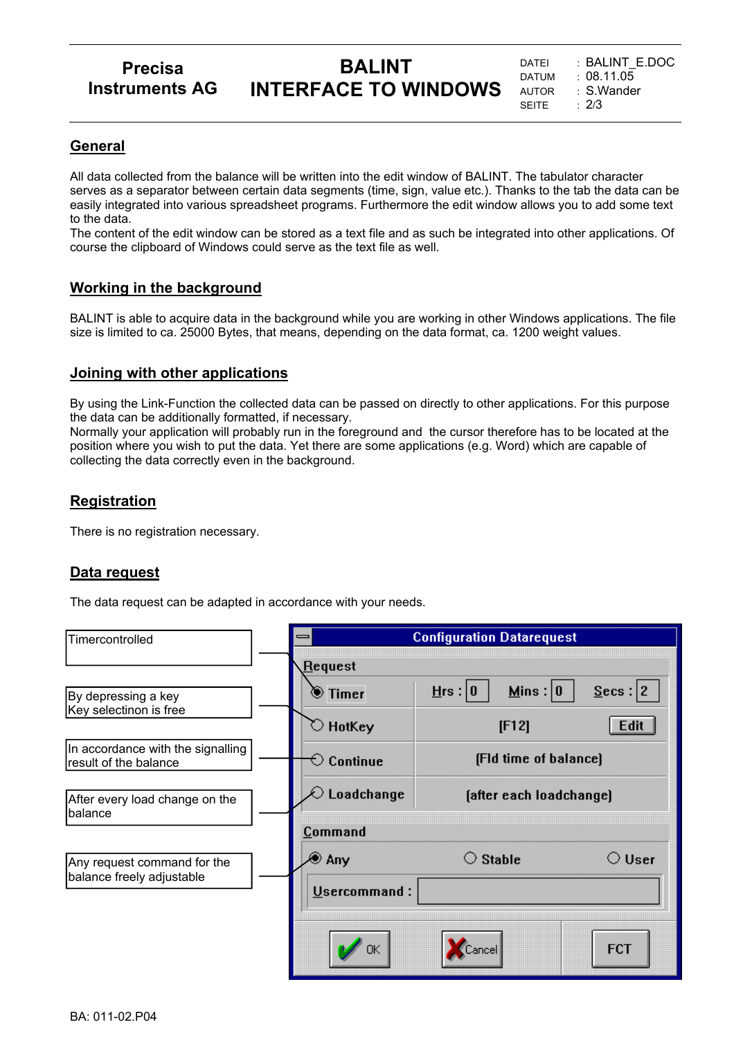## **Precisa Instruments AG**

# **BALINT INTERFACE TO WINDOWS**

#### **General**

All data collected from the balance will be written into the edit window of BALINT. The tabulator character serves as a separator between certain data segments (time, sign, value etc.). Thanks to the tab the data can be easily integrated into various spreadsheet programs. Furthermore the edit window allows you to add some text to the data.

The content of the edit window can be stored as a text file and as such be integrated into other applications. Of course the clipboard of Windows could serve as the text file as well.

#### **Working in the background**

BALINT is able to acquire data in the background while you are working in other Windows applications. The file size is limited to ca. 25000 Bytes, that means, depending on the data format, ca. 1200 weight values.

#### **Joining with other applications**

By using the Link-Function the collected data can be passed on directly to other applications. For this purpose the data can be additionally formatted, if necessary.

Normally your application will probably run in the foreground and the cursor therefore has to be located at the position where you wish to put the data. Yet there are some applications (e.g. Word) which are capable of collecting the data correctly even in the background.

### **Registration**

There is no registration necessary.

#### **Data request**

The data request can be adapted in accordance with your needs.

| Timercontrolled                                            |  | <b>Configuration Datarequest</b>              |                         |                          |  |  |
|------------------------------------------------------------|--|-----------------------------------------------|-------------------------|--------------------------|--|--|
|                                                            |  | <b>Request</b>                                |                         |                          |  |  |
| By depressing a key                                        |  | $\textcolor{blue}{\blacktriangleright}$ Timer | Mins: 0<br>$H$ rs : 0   | Secs:  2                 |  |  |
| Key selectinon is free                                     |  | $\heartsuit$ HotKey                           | [F12]                   | <b>Edit</b>              |  |  |
| In accordance with the signalling<br>result of the balance |  | $\heartsuit$ Continue                         | (Fld time of balance)   |                          |  |  |
| After every load change on the<br>balance                  |  | Loadchange                                    | [after each loadchange] |                          |  |  |
|                                                            |  | Command                                       |                         |                          |  |  |
| Any request command for the                                |  | ⊛ Any                                         | <b>Stable</b><br>( )    | $\circlearrowright$ User |  |  |
| balance freely adjustable                                  |  | Usercommand:                                  |                         |                          |  |  |
|                                                            |  | ОK                                            | Cancel                  | <b>FCT</b>               |  |  |